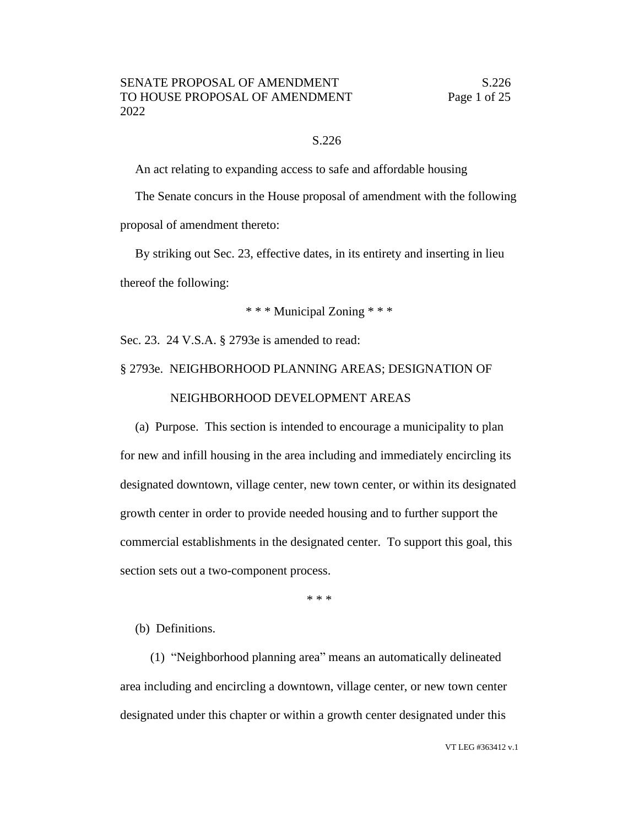#### S.226

An act relating to expanding access to safe and affordable housing

The Senate concurs in the House proposal of amendment with the following proposal of amendment thereto:

By striking out Sec. 23, effective dates, in its entirety and inserting in lieu thereof the following:

\* \* \* Municipal Zoning \* \* \*

Sec. 23. 24 V.S.A. § 2793e is amended to read:

## § 2793e. NEIGHBORHOOD PLANNING AREAS; DESIGNATION OF NEIGHBORHOOD DEVELOPMENT AREAS

(a) Purpose. This section is intended to encourage a municipality to plan for new and infill housing in the area including and immediately encircling its designated downtown, village center, new town center, or within its designated growth center in order to provide needed housing and to further support the commercial establishments in the designated center. To support this goal, this section sets out a two-component process.

\* \* \*

#### (b) Definitions.

(1) "Neighborhood planning area" means an automatically delineated area including and encircling a downtown, village center, or new town center designated under this chapter or within a growth center designated under this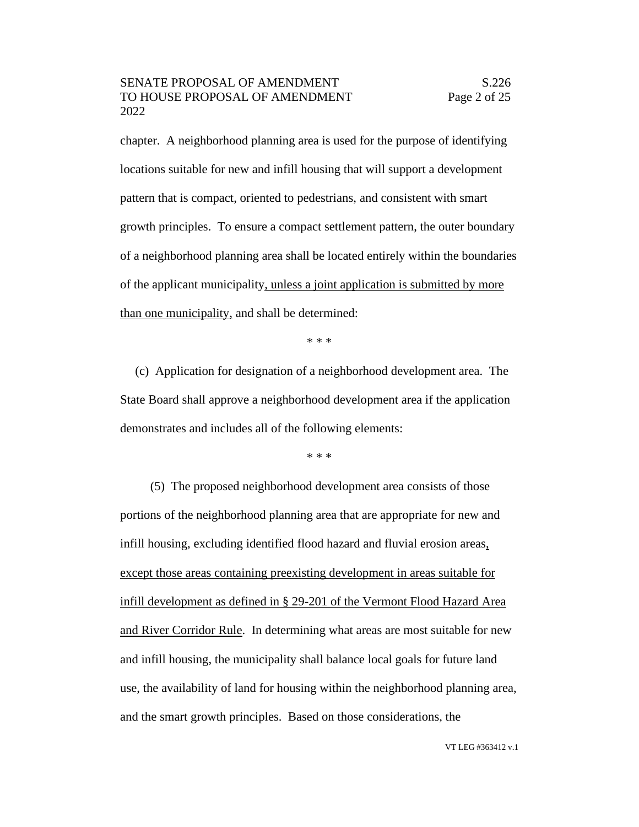chapter. A neighborhood planning area is used for the purpose of identifying locations suitable for new and infill housing that will support a development pattern that is compact, oriented to pedestrians, and consistent with smart growth principles. To ensure a compact settlement pattern, the outer boundary of a neighborhood planning area shall be located entirely within the boundaries of the applicant municipality, unless a joint application is submitted by more than one municipality, and shall be determined:

\* \* \*

(c) Application for designation of a neighborhood development area. The State Board shall approve a neighborhood development area if the application demonstrates and includes all of the following elements:

\* \* \*

(5) The proposed neighborhood development area consists of those portions of the neighborhood planning area that are appropriate for new and infill housing, excluding identified flood hazard and fluvial erosion areas, except those areas containing preexisting development in areas suitable for infill development as defined in § 29-201 of the Vermont Flood Hazard Area and River Corridor Rule. In determining what areas are most suitable for new and infill housing, the municipality shall balance local goals for future land use, the availability of land for housing within the neighborhood planning area, and the smart growth principles. Based on those considerations, the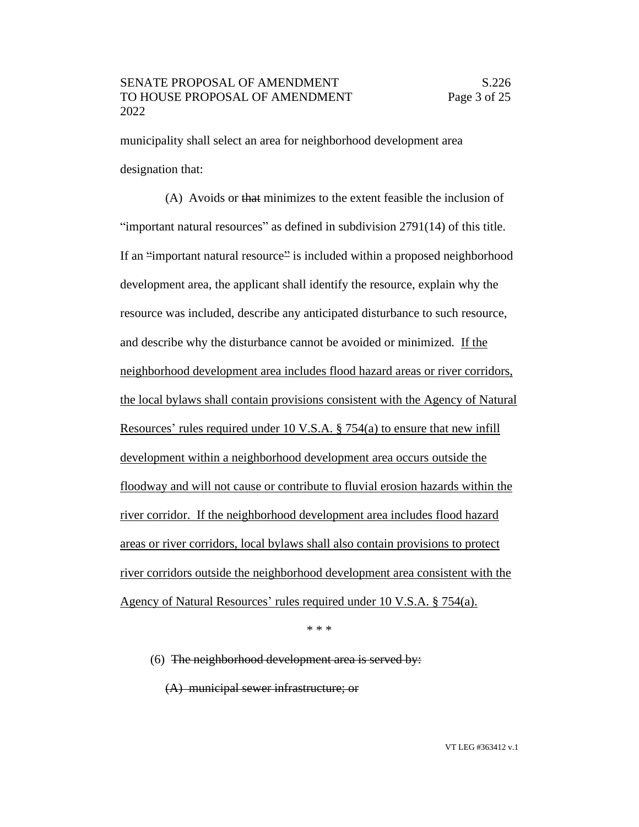municipality shall select an area for neighborhood development area designation that:

(A) Avoids or that minimizes to the extent feasible the inclusion of "important natural resources" as defined in subdivision 2791(14) of this title. If an "important natural resource" is included within a proposed neighborhood development area, the applicant shall identify the resource, explain why the resource was included, describe any anticipated disturbance to such resource, and describe why the disturbance cannot be avoided or minimized. If the neighborhood development area includes flood hazard areas or river corridors, the local bylaws shall contain provisions consistent with the Agency of Natural Resources' rules required under 10 V.S.A. § 754(a) to ensure that new infill development within a neighborhood development area occurs outside the floodway and will not cause or contribute to fluvial erosion hazards within the river corridor. If the neighborhood development area includes flood hazard areas or river corridors, local bylaws shall also contain provisions to protect river corridors outside the neighborhood development area consistent with the Agency of Natural Resources' rules required under 10 V.S.A. § 754(a).

\* \* \*

(6) The neighborhood development area is served by:

(A) municipal sewer infrastructure; or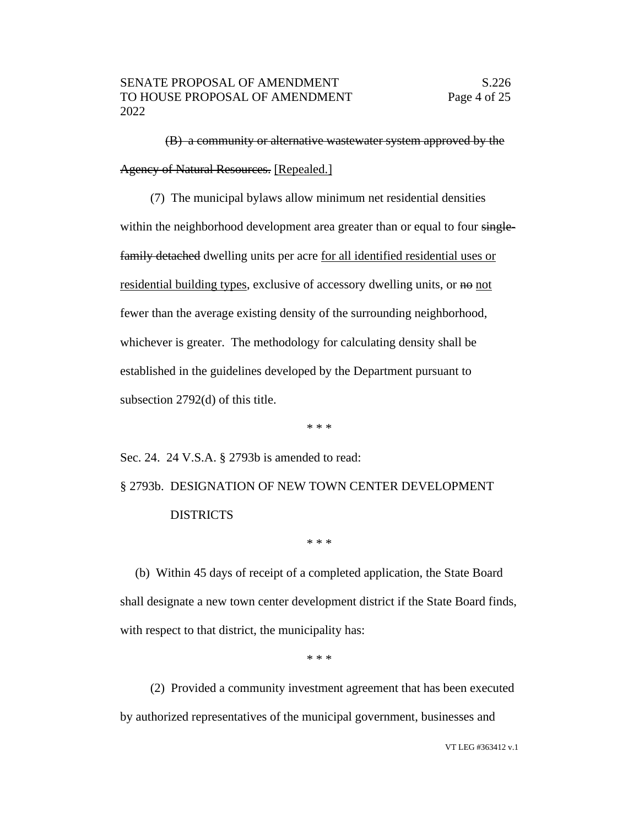(B) a community or alternative wastewater system approved by the Agency of Natural Resources. [Repealed.]

(7) The municipal bylaws allow minimum net residential densities within the neighborhood development area greater than or equal to four singlefamily detached dwelling units per acre for all identified residential uses or residential building types, exclusive of accessory dwelling units, or no not fewer than the average existing density of the surrounding neighborhood, whichever is greater. The methodology for calculating density shall be established in the guidelines developed by the Department pursuant to subsection 2792(d) of this title.

\* \* \*

Sec. 24. 24 V.S.A. § 2793b is amended to read:

§ 2793b. DESIGNATION OF NEW TOWN CENTER DEVELOPMENT DISTRICTS

\* \* \*

(b) Within 45 days of receipt of a completed application, the State Board shall designate a new town center development district if the State Board finds, with respect to that district, the municipality has:

\* \* \*

(2) Provided a community investment agreement that has been executed by authorized representatives of the municipal government, businesses and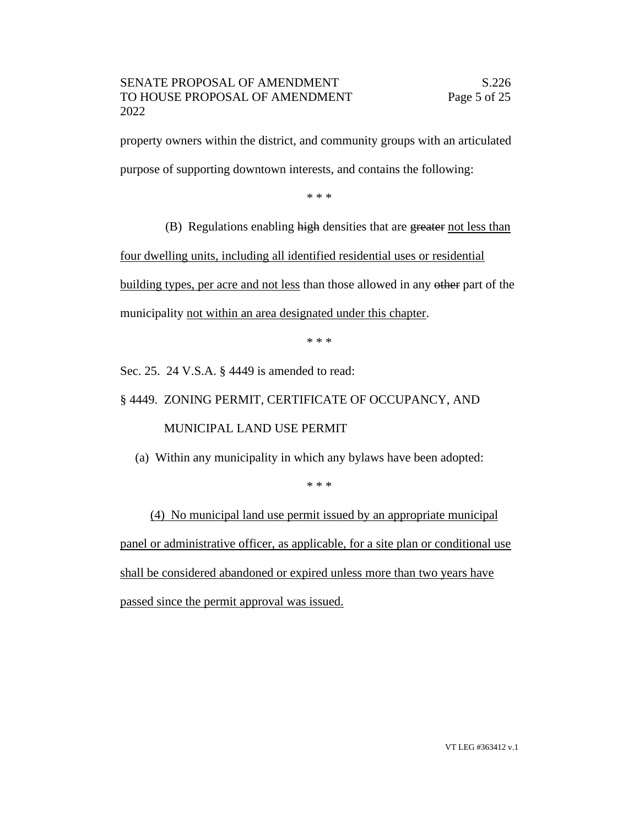property owners within the district, and community groups with an articulated purpose of supporting downtown interests, and contains the following:

\* \* \*

(B) Regulations enabling high densities that are greater not less than

four dwelling units, including all identified residential uses or residential building types, per acre and not less than those allowed in any other part of the municipality not within an area designated under this chapter.

\* \* \*

Sec. 25. 24 V.S.A. § 4449 is amended to read:

# § 4449. ZONING PERMIT, CERTIFICATE OF OCCUPANCY, AND MUNICIPAL LAND USE PERMIT

(a) Within any municipality in which any bylaws have been adopted:

\* \* \*

(4) No municipal land use permit issued by an appropriate municipal panel or administrative officer, as applicable, for a site plan or conditional use shall be considered abandoned or expired unless more than two years have passed since the permit approval was issued.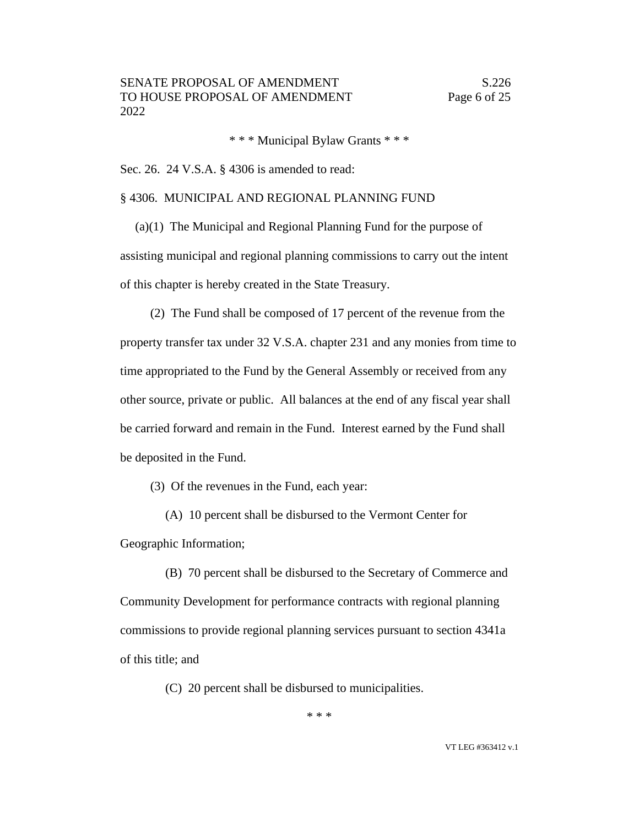\* \* \* Municipal Bylaw Grants \* \* \*

Sec. 26. 24 V.S.A. § 4306 is amended to read:

#### § 4306. MUNICIPAL AND REGIONAL PLANNING FUND

(a)(1) The Municipal and Regional Planning Fund for the purpose of assisting municipal and regional planning commissions to carry out the intent of this chapter is hereby created in the State Treasury.

(2) The Fund shall be composed of 17 percent of the revenue from the property transfer tax under 32 V.S.A. chapter 231 and any monies from time to time appropriated to the Fund by the General Assembly or received from any other source, private or public. All balances at the end of any fiscal year shall be carried forward and remain in the Fund. Interest earned by the Fund shall be deposited in the Fund.

(3) Of the revenues in the Fund, each year:

(A) 10 percent shall be disbursed to the Vermont Center for Geographic Information;

(B) 70 percent shall be disbursed to the Secretary of Commerce and Community Development for performance contracts with regional planning commissions to provide regional planning services pursuant to section 4341a of this title; and

(C) 20 percent shall be disbursed to municipalities.

\* \* \*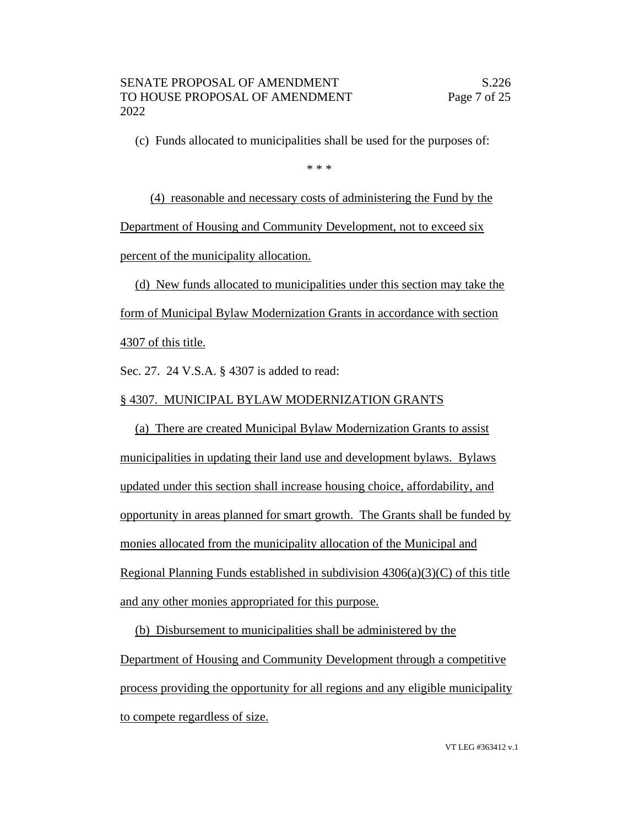(c) Funds allocated to municipalities shall be used for the purposes of:

\* \* \*

(4) reasonable and necessary costs of administering the Fund by the Department of Housing and Community Development, not to exceed six percent of the municipality allocation.

(d) New funds allocated to municipalities under this section may take the form of Municipal Bylaw Modernization Grants in accordance with section

4307 of this title.

Sec. 27. 24 V.S.A. § 4307 is added to read:

### § 4307. MUNICIPAL BYLAW MODERNIZATION GRANTS

(a) There are created Municipal Bylaw Modernization Grants to assist municipalities in updating their land use and development bylaws. Bylaws updated under this section shall increase housing choice, affordability, and opportunity in areas planned for smart growth. The Grants shall be funded by monies allocated from the municipality allocation of the Municipal and Regional Planning Funds established in subdivision  $4306(a)(3)(C)$  of this title and any other monies appropriated for this purpose.

(b) Disbursement to municipalities shall be administered by the Department of Housing and Community Development through a competitive process providing the opportunity for all regions and any eligible municipality to compete regardless of size.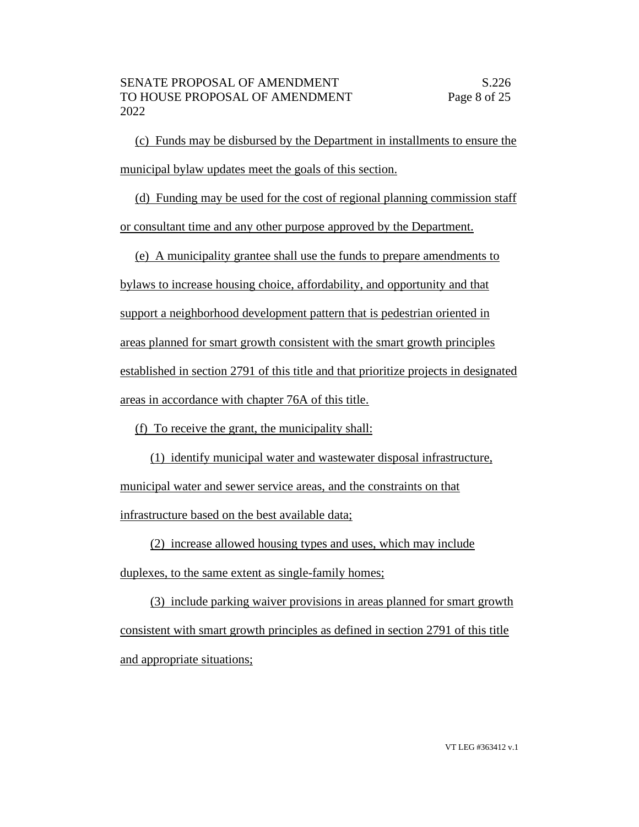(c) Funds may be disbursed by the Department in installments to ensure the municipal bylaw updates meet the goals of this section.

(d) Funding may be used for the cost of regional planning commission staff or consultant time and any other purpose approved by the Department.

(e) A municipality grantee shall use the funds to prepare amendments to bylaws to increase housing choice, affordability, and opportunity and that support a neighborhood development pattern that is pedestrian oriented in areas planned for smart growth consistent with the smart growth principles established in section 2791 of this title and that prioritize projects in designated areas in accordance with chapter 76A of this title.

(f) To receive the grant, the municipality shall:

(1) identify municipal water and wastewater disposal infrastructure, municipal water and sewer service areas, and the constraints on that infrastructure based on the best available data;

(2) increase allowed housing types and uses, which may include

duplexes, to the same extent as single-family homes;

(3) include parking waiver provisions in areas planned for smart growth consistent with smart growth principles as defined in section 2791 of this title and appropriate situations;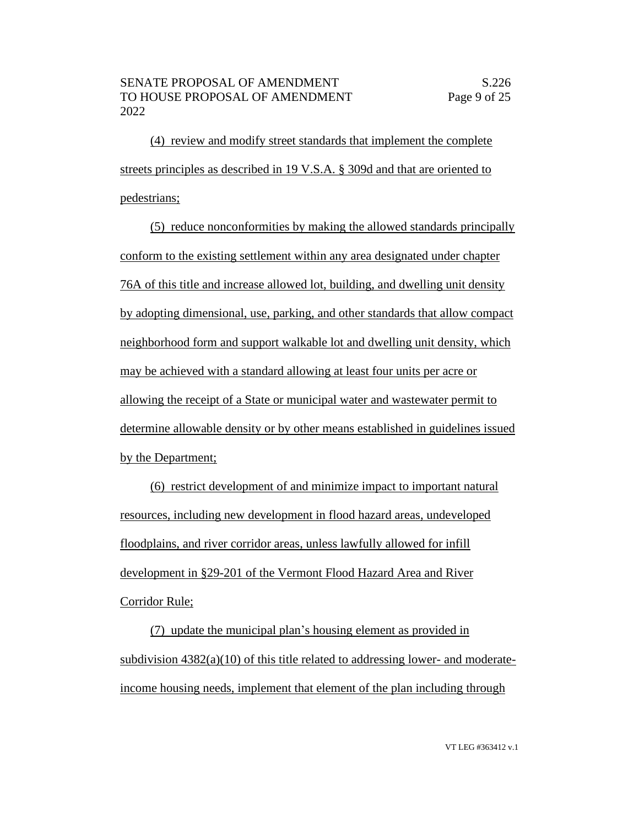(4) review and modify street standards that implement the complete streets principles as described in 19 V.S.A. § 309d and that are oriented to pedestrians;

(5) reduce nonconformities by making the allowed standards principally conform to the existing settlement within any area designated under chapter 76A of this title and increase allowed lot, building, and dwelling unit density by adopting dimensional, use, parking, and other standards that allow compact neighborhood form and support walkable lot and dwelling unit density, which may be achieved with a standard allowing at least four units per acre or allowing the receipt of a State or municipal water and wastewater permit to determine allowable density or by other means established in guidelines issued by the Department;

(6) restrict development of and minimize impact to important natural resources, including new development in flood hazard areas, undeveloped floodplains, and river corridor areas, unless lawfully allowed for infill development in §29-201 of the Vermont Flood Hazard Area and River Corridor Rule;

(7) update the municipal plan's housing element as provided in subdivision  $4382(a)(10)$  of this title related to addressing lower- and moderateincome housing needs, implement that element of the plan including through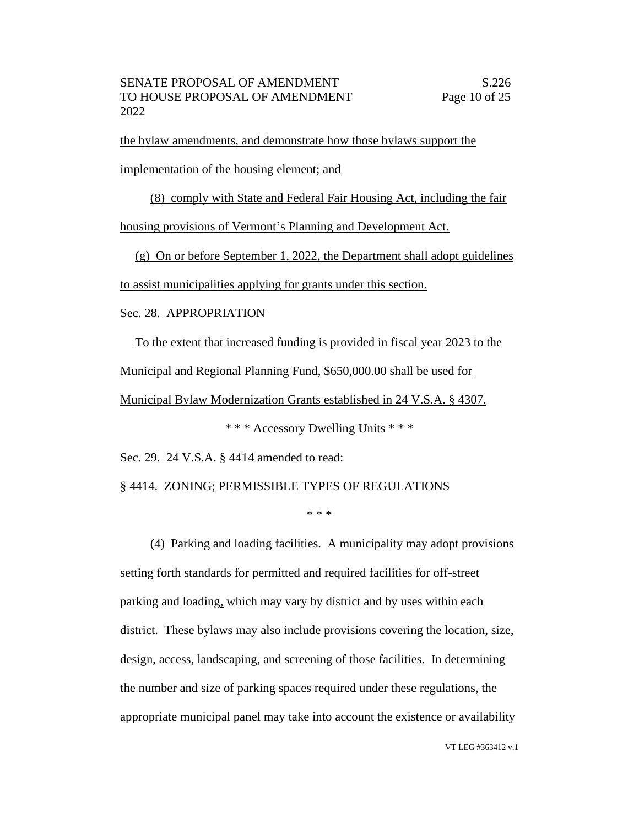the bylaw amendments, and demonstrate how those bylaws support the

implementation of the housing element; and

(8) comply with State and Federal Fair Housing Act, including the fair

housing provisions of Vermont's Planning and Development Act.

(g) On or before September 1, 2022, the Department shall adopt guidelines

to assist municipalities applying for grants under this section.

#### Sec. 28. APPROPRIATION

To the extent that increased funding is provided in fiscal year 2023 to the Municipal and Regional Planning Fund, \$650,000.00 shall be used for Municipal Bylaw Modernization Grants established in 24 V.S.A. § 4307.

\* \* \* Accessory Dwelling Units \* \* \*

Sec. 29. 24 V.S.A. § 4414 amended to read:

§ 4414. ZONING; PERMISSIBLE TYPES OF REGULATIONS

\* \* \*

(4) Parking and loading facilities. A municipality may adopt provisions setting forth standards for permitted and required facilities for off-street parking and loading, which may vary by district and by uses within each district. These bylaws may also include provisions covering the location, size, design, access, landscaping, and screening of those facilities. In determining the number and size of parking spaces required under these regulations, the appropriate municipal panel may take into account the existence or availability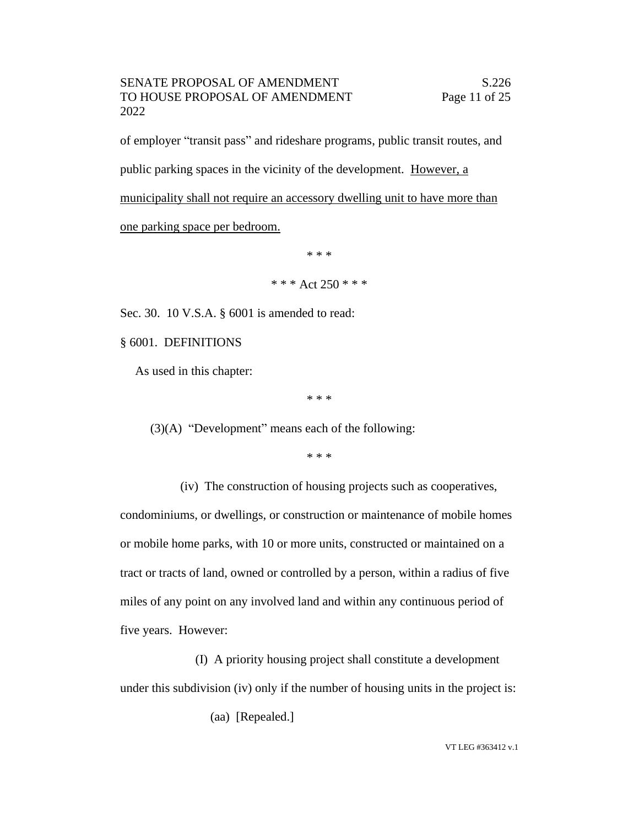#### SENATE PROPOSAL OF AMENDMENT S.226 TO HOUSE PROPOSAL OF AMENDMENT Page 11 of 25 2022

of employer "transit pass" and rideshare programs, public transit routes, and public parking spaces in the vicinity of the development. However, a municipality shall not require an accessory dwelling unit to have more than one parking space per bedroom.

\* \* \*

\* \* \* Act  $250$  \* \* \*

Sec. 30. 10 V.S.A. § 6001 is amended to read:

§ 6001. DEFINITIONS

As used in this chapter:

\* \* \*

(3)(A) "Development" means each of the following:

\* \* \*

(iv) The construction of housing projects such as cooperatives,

condominiums, or dwellings, or construction or maintenance of mobile homes or mobile home parks, with 10 or more units, constructed or maintained on a tract or tracts of land, owned or controlled by a person, within a radius of five miles of any point on any involved land and within any continuous period of five years. However:

(I) A priority housing project shall constitute a development under this subdivision (iv) only if the number of housing units in the project is:

(aa) [Repealed.]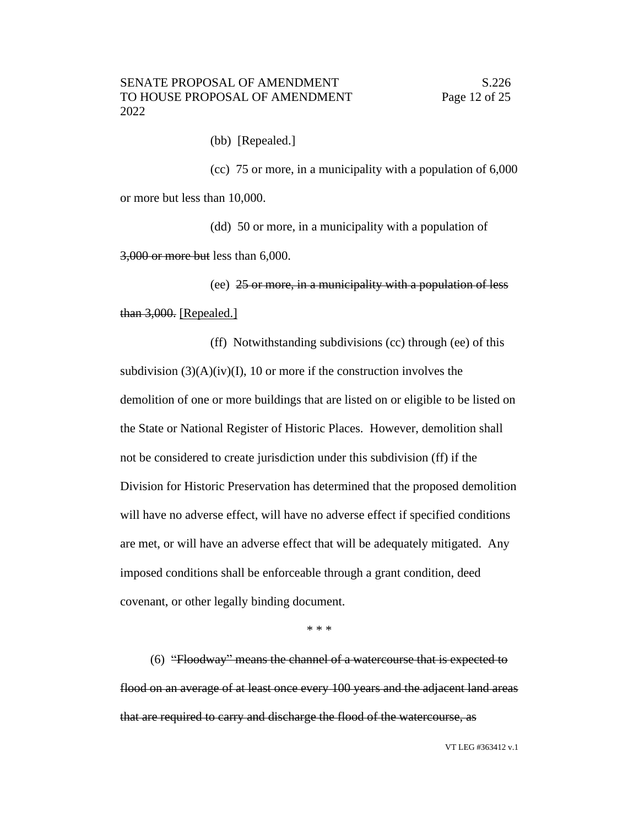(bb) [Repealed.]

(cc) 75 or more, in a municipality with a population of 6,000 or more but less than 10,000.

(dd) 50 or more, in a municipality with a population of 3,000 or more but less than 6,000.

(ee) 25 or more, in a municipality with a population of less than 3,000. [Repealed.]

(ff) Notwithstanding subdivisions (cc) through (ee) of this subdivision  $(3)(A)(iv)(I)$ , 10 or more if the construction involves the demolition of one or more buildings that are listed on or eligible to be listed on the State or National Register of Historic Places. However, demolition shall not be considered to create jurisdiction under this subdivision (ff) if the Division for Historic Preservation has determined that the proposed demolition will have no adverse effect, will have no adverse effect if specified conditions are met, or will have an adverse effect that will be adequately mitigated. Any imposed conditions shall be enforceable through a grant condition, deed covenant, or other legally binding document.

\* \* \*

(6) "Floodway" means the channel of a watercourse that is expected to flood on an average of at least once every 100 years and the adjacent land areas that are required to carry and discharge the flood of the watercourse, as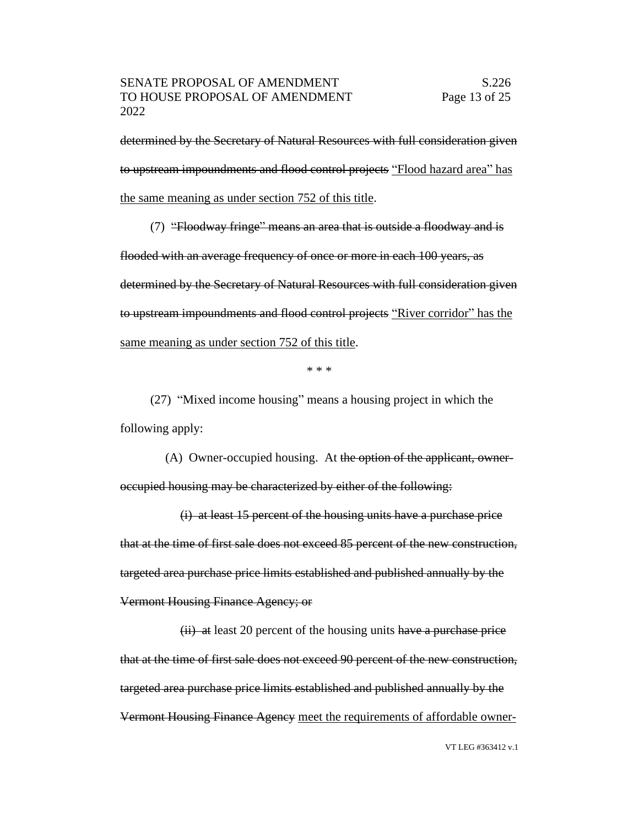determined by the Secretary of Natural Resources with full consideration given to upstream impoundments and flood control projects "Flood hazard area" has the same meaning as under section 752 of this title.

(7) "Floodway fringe" means an area that is outside a floodway and is flooded with an average frequency of once or more in each 100 years, as determined by the Secretary of Natural Resources with full consideration given to upstream impoundments and flood control projects "River corridor" has the same meaning as under section 752 of this title.

\* \* \*

(27) "Mixed income housing" means a housing project in which the following apply:

(A) Owner-occupied housing. At the option of the applicant, owneroccupied housing may be characterized by either of the following:

(i) at least 15 percent of the housing units have a purchase price that at the time of first sale does not exceed 85 percent of the new construction, targeted area purchase price limits established and published annually by the Vermont Housing Finance Agency; or

 $(ii)$  at least 20 percent of the housing units have a purchase price that at the time of first sale does not exceed 90 percent of the new construction, targeted area purchase price limits established and published annually by the Vermont Housing Finance Agency meet the requirements of affordable owner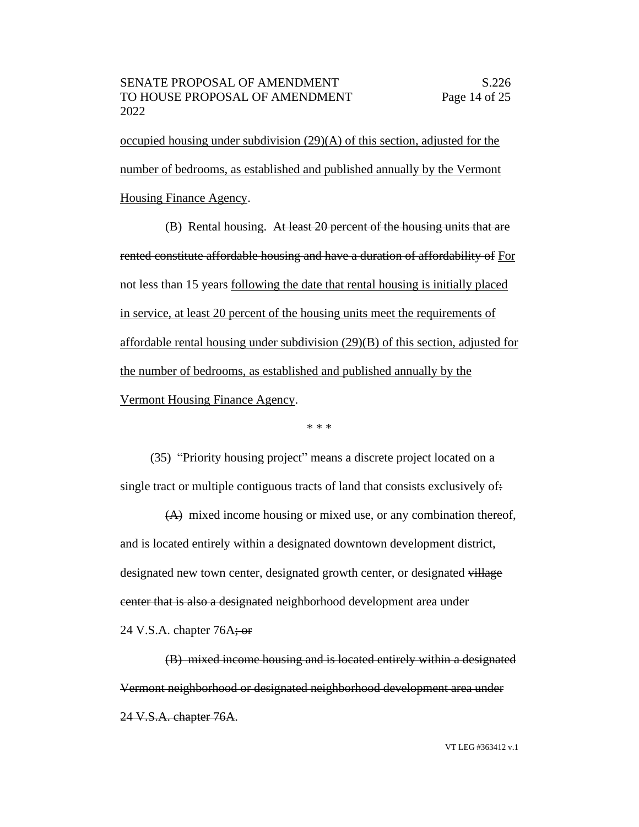occupied housing under subdivision (29)(A) of this section, adjusted for the number of bedrooms, as established and published annually by the Vermont Housing Finance Agency.

(B) Rental housing. At least 20 percent of the housing units that are rented constitute affordable housing and have a duration of affordability of For not less than 15 years following the date that rental housing is initially placed in service, at least 20 percent of the housing units meet the requirements of affordable rental housing under subdivision (29)(B) of this section, adjusted for the number of bedrooms, as established and published annually by the Vermont Housing Finance Agency.

\* \* \*

(35) "Priority housing project" means a discrete project located on a single tract or multiple contiguous tracts of land that consists exclusively of:

(A) mixed income housing or mixed use, or any combination thereof, and is located entirely within a designated downtown development district, designated new town center, designated growth center, or designated village center that is also a designated neighborhood development area under 24 V.S.A. chapter  $76A$ ; or

(B) mixed income housing and is located entirely within a designated Vermont neighborhood or designated neighborhood development area under 24 V.S.A. chapter 76A.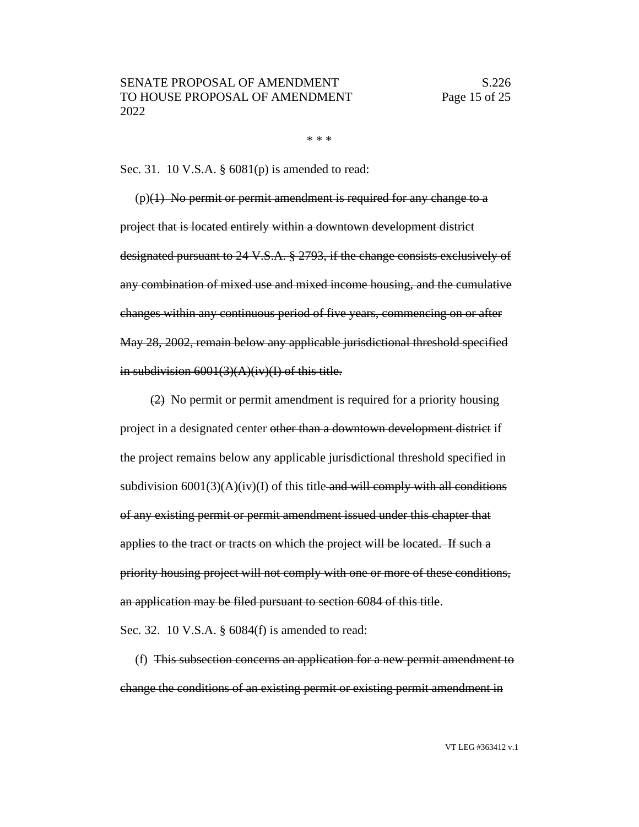\* \* \*

Sec. 31. 10 V.S.A. § 6081(p) is amended to read:

 $(p)(1)$  No permit or permit amendment is required for any change to a project that is located entirely within a downtown development district designated pursuant to 24 V.S.A. § 2793, if the change consists exclusively of any combination of mixed use and mixed income housing, and the cumulative changes within any continuous period of five years, commencing on or after May 28, 2002, remain below any applicable jurisdictional threshold specified in subdivision 6001(3)(A)(iv)(I) of this title.

(2) No permit or permit amendment is required for a priority housing project in a designated center other than a downtown development district if the project remains below any applicable jurisdictional threshold specified in subdivision  $6001(3)(A)(iv)(I)$  of this title-and will comply with all conditions of any existing permit or permit amendment issued under this chapter that applies to the tract or tracts on which the project will be located. If such a priority housing project will not comply with one or more of these conditions, an application may be filed pursuant to section 6084 of this title.

Sec. 32. 10 V.S.A. § 6084(f) is amended to read:

(f) This subsection concerns an application for a new permit amendment to change the conditions of an existing permit or existing permit amendment in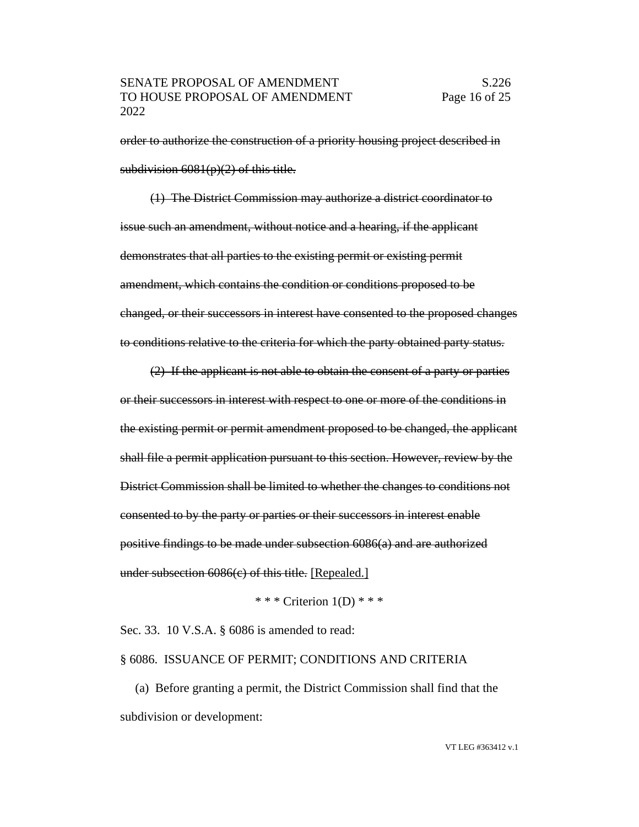order to authorize the construction of a priority housing project described in subdivision  $6081(p)(2)$  of this title.

(1) The District Commission may authorize a district coordinator to issue such an amendment, without notice and a hearing, if the applicant demonstrates that all parties to the existing permit or existing permit amendment, which contains the condition or conditions proposed to be changed, or their successors in interest have consented to the proposed changes to conditions relative to the criteria for which the party obtained party status.

(2) If the applicant is not able to obtain the consent of a party or parties or their successors in interest with respect to one or more of the conditions in the existing permit or permit amendment proposed to be changed, the applicant shall file a permit application pursuant to this section. However, review by the District Commission shall be limited to whether the changes to conditions not consented to by the party or parties or their successors in interest enable positive findings to be made under subsection 6086(a) and are authorized under subsection 6086(c) of this title. [Repealed.]

\* \* \* Criterion  $1(D)$  \* \* \*

Sec. 33. 10 V.S.A. § 6086 is amended to read:

§ 6086. ISSUANCE OF PERMIT; CONDITIONS AND CRITERIA

(a) Before granting a permit, the District Commission shall find that the subdivision or development: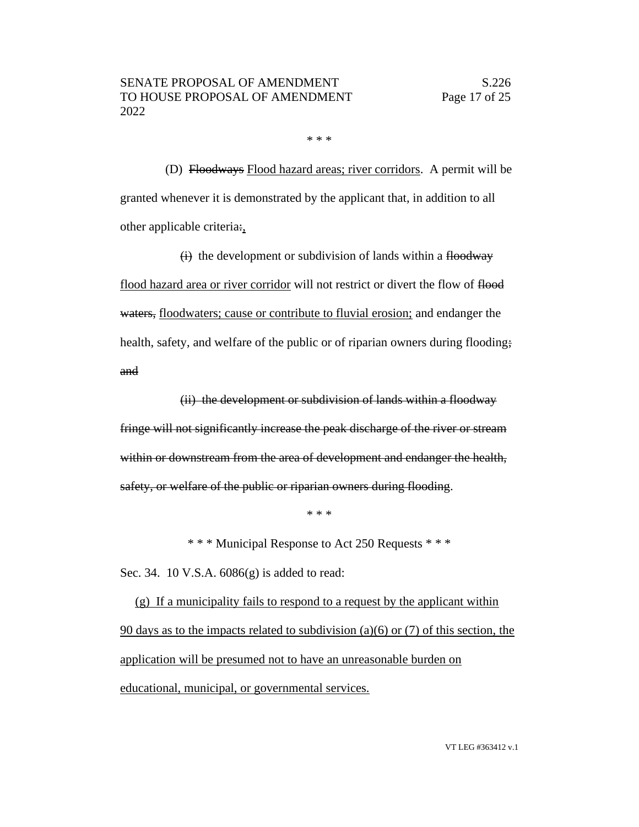\* \* \*

(D) Floodways Flood hazard areas; river corridors. A permit will be granted whenever it is demonstrated by the applicant that, in addition to all other applicable criteria:,

 $(i)$  the development or subdivision of lands within a floodway flood hazard area or river corridor will not restrict or divert the flow of flood waters, floodwaters; cause or contribute to fluvial erosion; and endanger the health, safety, and welfare of the public or of riparian owners during flooding; and

(ii) the development or subdivision of lands within a floodway fringe will not significantly increase the peak discharge of the river or stream within or downstream from the area of development and endanger the health, safety, or welfare of the public or riparian owners during flooding.

\* \* \*

\* \* \* Municipal Response to Act 250 Requests \* \* \*

Sec. 34. 10 V.S.A. 6086(g) is added to read:

(g) If a municipality fails to respond to a request by the applicant within 90 days as to the impacts related to subdivision (a)(6) or (7) of this section, the application will be presumed not to have an unreasonable burden on educational, municipal, or governmental services.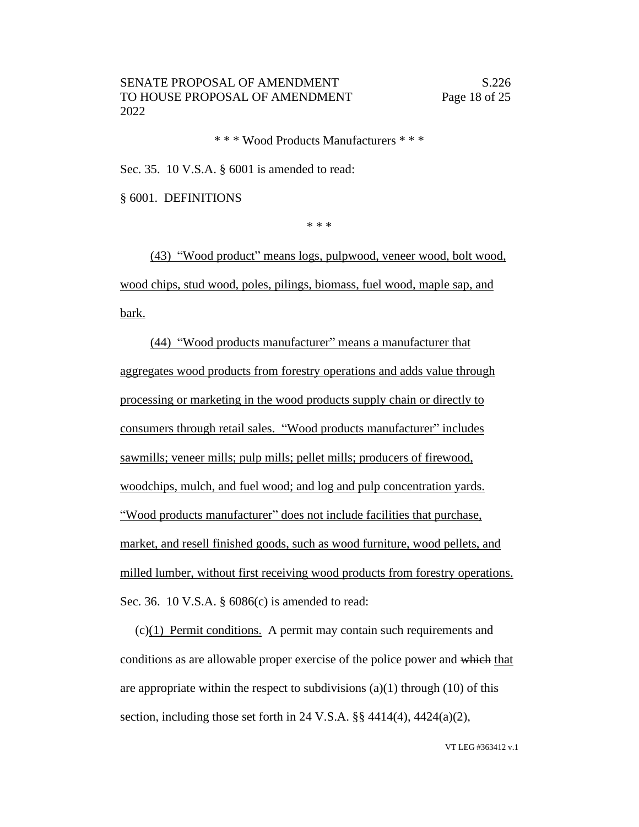\* \* \* Wood Products Manufacturers \* \* \*

Sec. 35. 10 V.S.A. § 6001 is amended to read:

§ 6001. DEFINITIONS

\* \* \*

(43) "Wood product" means logs, pulpwood, veneer wood, bolt wood, wood chips, stud wood, poles, pilings, biomass, fuel wood, maple sap, and bark.

(44) "Wood products manufacturer" means a manufacturer that aggregates wood products from forestry operations and adds value through processing or marketing in the wood products supply chain or directly to consumers through retail sales. "Wood products manufacturer" includes sawmills; veneer mills; pulp mills; pellet mills; producers of firewood, woodchips, mulch, and fuel wood; and log and pulp concentration yards. "Wood products manufacturer" does not include facilities that purchase, market, and resell finished goods, such as wood furniture, wood pellets, and milled lumber, without first receiving wood products from forestry operations. Sec. 36. 10 V.S.A. § 6086(c) is amended to read:

(c)(1) Permit conditions. A permit may contain such requirements and conditions as are allowable proper exercise of the police power and which that are appropriate within the respect to subdivisions  $(a)(1)$  through  $(10)$  of this section, including those set forth in 24 V.S.A. §§ 4414(4), 4424(a)(2),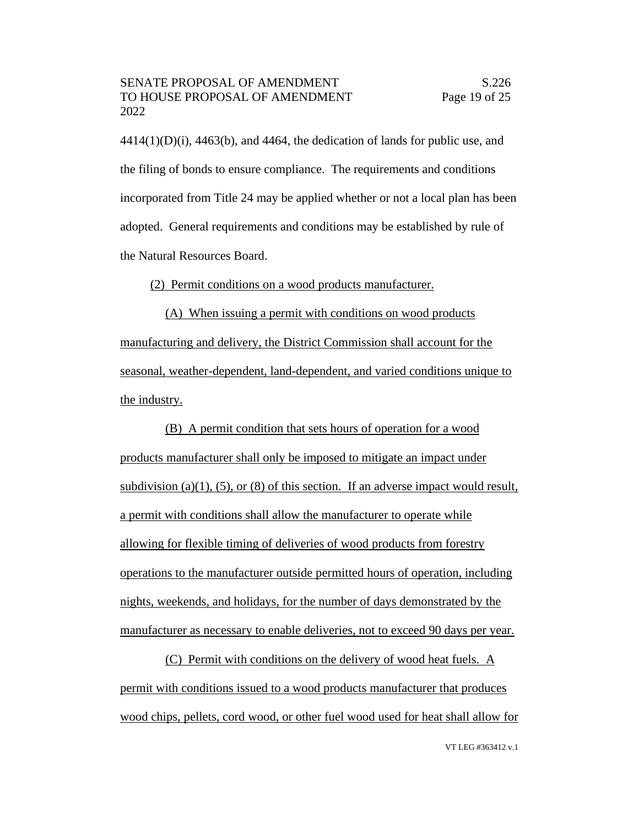$4414(1)(D)(i)$ ,  $4463(6)$ , and  $4464$ , the dedication of lands for public use, and the filing of bonds to ensure compliance. The requirements and conditions incorporated from Title 24 may be applied whether or not a local plan has been adopted. General requirements and conditions may be established by rule of the Natural Resources Board.

(2) Permit conditions on a wood products manufacturer.

(A) When issuing a permit with conditions on wood products manufacturing and delivery, the District Commission shall account for the seasonal, weather-dependent, land-dependent, and varied conditions unique to the industry.

(B) A permit condition that sets hours of operation for a wood products manufacturer shall only be imposed to mitigate an impact under subdivision (a)(1), (5), or (8) of this section. If an adverse impact would result, a permit with conditions shall allow the manufacturer to operate while allowing for flexible timing of deliveries of wood products from forestry operations to the manufacturer outside permitted hours of operation, including nights, weekends, and holidays, for the number of days demonstrated by the manufacturer as necessary to enable deliveries, not to exceed 90 days per year.

(C) Permit with conditions on the delivery of wood heat fuels. A permit with conditions issued to a wood products manufacturer that produces wood chips, pellets, cord wood, or other fuel wood used for heat shall allow for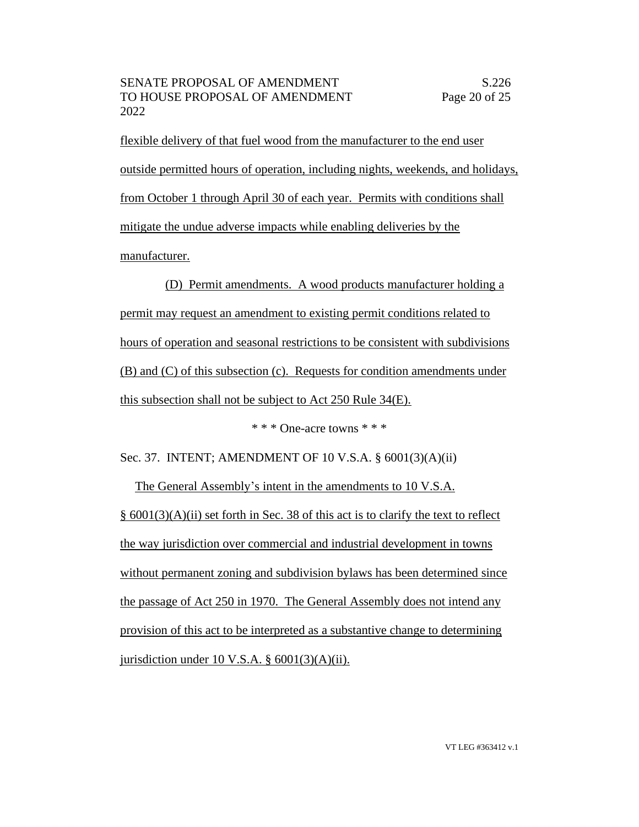flexible delivery of that fuel wood from the manufacturer to the end user outside permitted hours of operation, including nights, weekends, and holidays, from October 1 through April 30 of each year. Permits with conditions shall mitigate the undue adverse impacts while enabling deliveries by the manufacturer.

(D) Permit amendments. A wood products manufacturer holding a permit may request an amendment to existing permit conditions related to hours of operation and seasonal restrictions to be consistent with subdivisions (B) and (C) of this subsection (c). Requests for condition amendments under this subsection shall not be subject to Act 250 Rule 34(E).

\* \* \* One-acre towns \* \* \*

Sec. 37. INTENT; AMENDMENT OF 10 V.S.A. § 6001(3)(A)(ii)

The General Assembly's intent in the amendments to 10 V.S.A. § 6001(3)(A)(ii) set forth in Sec. 38 of this act is to clarify the text to reflect the way jurisdiction over commercial and industrial development in towns without permanent zoning and subdivision bylaws has been determined since the passage of Act 250 in 1970. The General Assembly does not intend any provision of this act to be interpreted as a substantive change to determining jurisdiction under 10 V.S.A.  $\S$  6001(3)(A)(ii).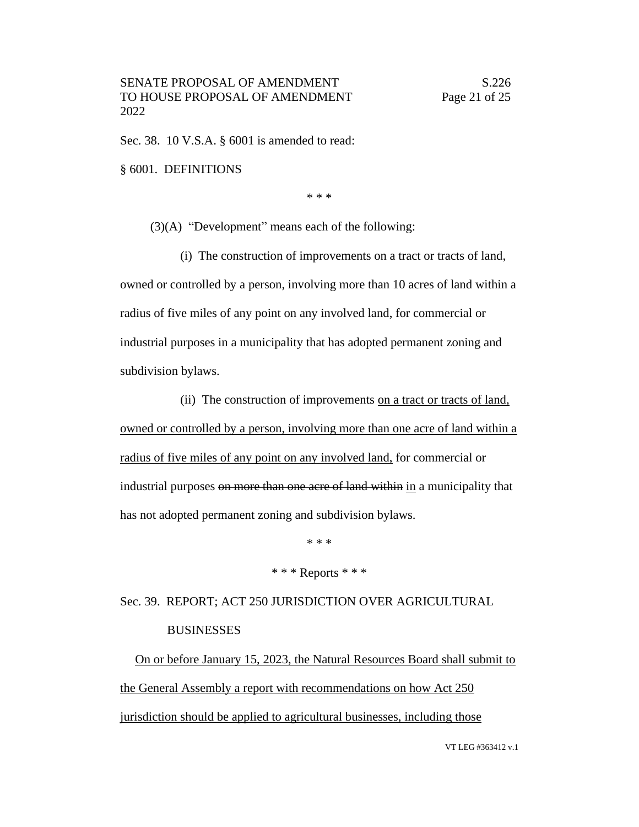Sec. 38. 10 V.S.A. § 6001 is amended to read:

§ 6001. DEFINITIONS

\* \* \*

(3)(A) "Development" means each of the following:

(i) The construction of improvements on a tract or tracts of land, owned or controlled by a person, involving more than 10 acres of land within a radius of five miles of any point on any involved land, for commercial or industrial purposes in a municipality that has adopted permanent zoning and subdivision bylaws.

(ii) The construction of improvements on a tract or tracts of land, owned or controlled by a person, involving more than one acre of land within a radius of five miles of any point on any involved land, for commercial or industrial purposes on more than one acre of land within in a municipality that has not adopted permanent zoning and subdivision bylaws.

\* \* \*

#### \* \* \* Reports \* \* \*

Sec. 39. REPORT; ACT 250 JURISDICTION OVER AGRICULTURAL **BUSINESSES** 

On or before January 15, 2023, the Natural Resources Board shall submit to the General Assembly a report with recommendations on how Act 250 jurisdiction should be applied to agricultural businesses, including those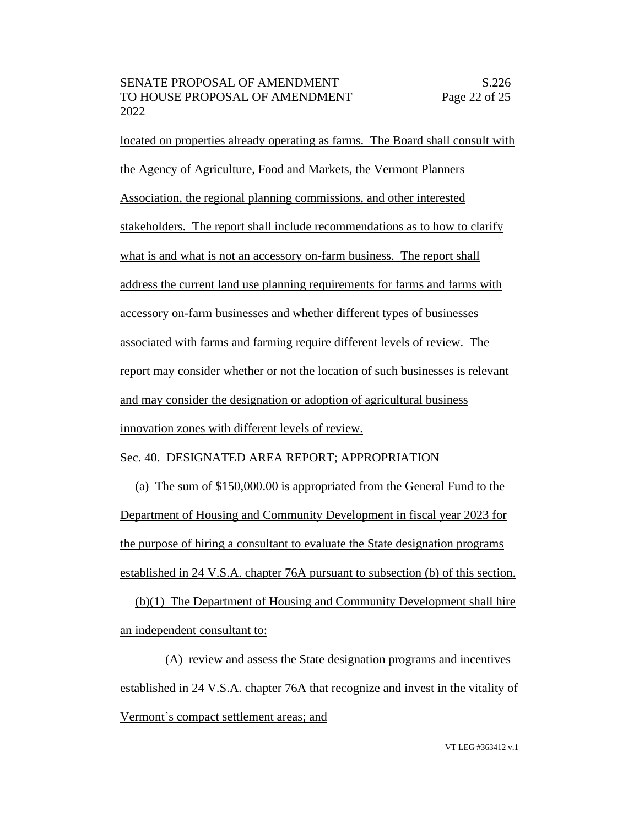located on properties already operating as farms. The Board shall consult with the Agency of Agriculture, Food and Markets, the Vermont Planners Association, the regional planning commissions, and other interested stakeholders. The report shall include recommendations as to how to clarify what is and what is not an accessory on-farm business. The report shall address the current land use planning requirements for farms and farms with accessory on-farm businesses and whether different types of businesses associated with farms and farming require different levels of review. The report may consider whether or not the location of such businesses is relevant and may consider the designation or adoption of agricultural business innovation zones with different levels of review.

Sec. 40. DESIGNATED AREA REPORT; APPROPRIATION

(a) The sum of \$150,000.00 is appropriated from the General Fund to the Department of Housing and Community Development in fiscal year 2023 for the purpose of hiring a consultant to evaluate the State designation programs established in 24 V.S.A. chapter 76A pursuant to subsection (b) of this section.

(b)(1) The Department of Housing and Community Development shall hire an independent consultant to:

(A) review and assess the State designation programs and incentives established in 24 V.S.A. chapter 76A that recognize and invest in the vitality of Vermont's compact settlement areas; and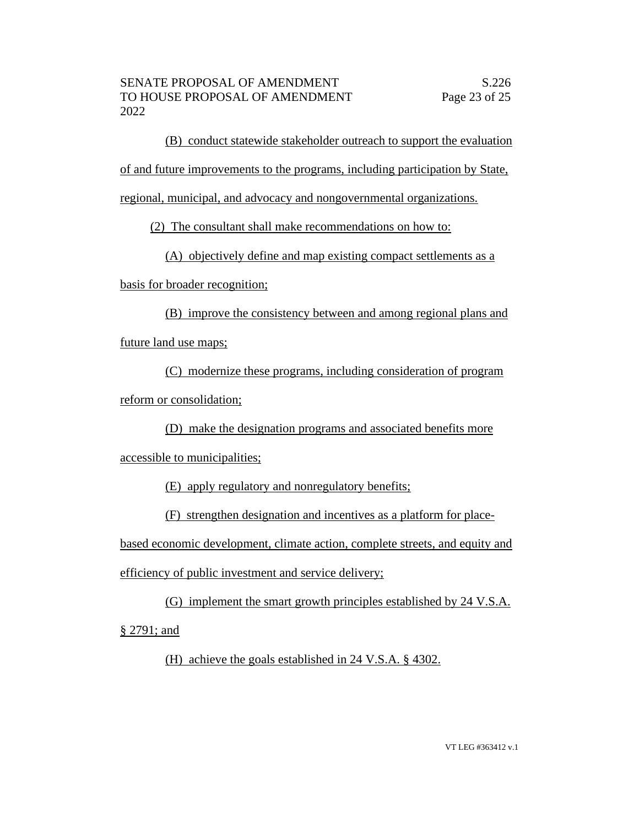(B) conduct statewide stakeholder outreach to support the evaluation

of and future improvements to the programs, including participation by State,

regional, municipal, and advocacy and nongovernmental organizations.

(2) The consultant shall make recommendations on how to:

(A) objectively define and map existing compact settlements as a

basis for broader recognition;

(B) improve the consistency between and among regional plans and future land use maps;

(C) modernize these programs, including consideration of program reform or consolidation;

(D) make the designation programs and associated benefits more

accessible to municipalities;

(E) apply regulatory and nonregulatory benefits;

(F) strengthen designation and incentives as a platform for place-

based economic development, climate action, complete streets, and equity and

efficiency of public investment and service delivery;

(G) implement the smart growth principles established by 24 V.S.A. § 2791; and

(H) achieve the goals established in 24 V.S.A. § 4302.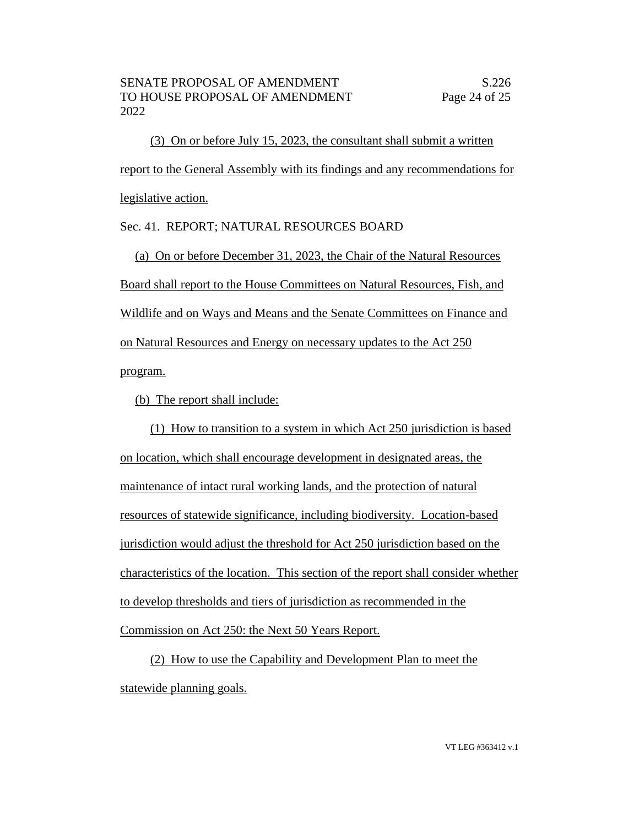(3) On or before July 15, 2023, the consultant shall submit a written report to the General Assembly with its findings and any recommendations for legislative action.

Sec. 41. REPORT; NATURAL RESOURCES BOARD

(a) On or before December 31, 2023, the Chair of the Natural Resources Board shall report to the House Committees on Natural Resources, Fish, and Wildlife and on Ways and Means and the Senate Committees on Finance and on Natural Resources and Energy on necessary updates to the Act 250 program.

(b) The report shall include:

(1) How to transition to a system in which Act 250 jurisdiction is based on location, which shall encourage development in designated areas, the maintenance of intact rural working lands, and the protection of natural resources of statewide significance, including biodiversity. Location-based jurisdiction would adjust the threshold for Act 250 jurisdiction based on the characteristics of the location. This section of the report shall consider whether to develop thresholds and tiers of jurisdiction as recommended in the Commission on Act 250: the Next 50 Years Report.

(2) How to use the Capability and Development Plan to meet the statewide planning goals.